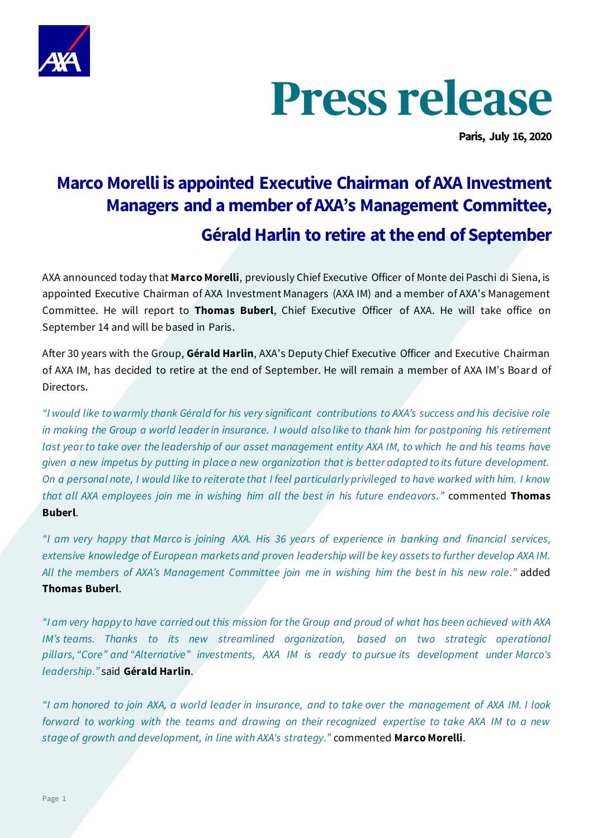

# **Press release**

**Paris, July 16, 2020**

# **Marco Morelli is appointed Executive Chairman of AXA Investment Managers and a member of AXA's Management Committee, Gérald Harlin to retire at the end of September**

AXA announced today that **Marco Morelli**, previously Chief Executive Officer of Monte dei Paschi di Siena, is appointed Executive Chairman of AXA Investment Managers (AXA IM) and a member of AXA's Management Committee. He will report to **Thomas Buberl**, Chief Executive Officer of AXA. He will take office on September 14 and will be based in Paris.

After 30 years with the Group, **Gérald Harlin**, AXA's Deputy Chief Executive Officer and Executive Chairman of AXA IM, has decided to retire at the end of September. He will remain a member of AXA IM's Boar d of Directors.

*"I would like to warmly thank Gérald for his very significant contributions to AXA's success and his decisive role in making the Group a world leader in insurance. I would also like to thank him for postponing his retirement last year to take over the leadership of our asset management entity AXA IM, to which he and his teams have given a new impetus by putting in place a new organization that is better adapted to its future development. On a personal note, I would like to reiterate that I feel particularly privileged to have worked with him. I know that all AXA employees join me in wishing him all the best in his future endeavors."* commented **Thomas Buberl**.

*"I am very happy that Marco is joining AXA. His 36 years of experience in banking and financial services, extensive knowledge of European markets and proven leadership will be key assets to further develop AXA IM. All the members of AXA's Management Committee join me in wishing him the best in his new role."* added **Thomas Buberl**.

*"I am very happy to have carried out this mission for the Group and proud of what has been achieved with AXA IM's teams.* Thanks to its new streamlined organization, based on two strategic operational *pillars, "Core" and "Alternative" investments, AXA IM is ready to pursue its development under Marco's leadership."* said **Gérald Harlin**.

*"I am honored to join AXA, a world leader in insurance, and to take over the management of AXA IM. I look forward to working with the teams and drawing on their recognized expertise to take AXA IM to a new stage of growth and development, in line with AXA's strategy."* commented **Marco Morelli**.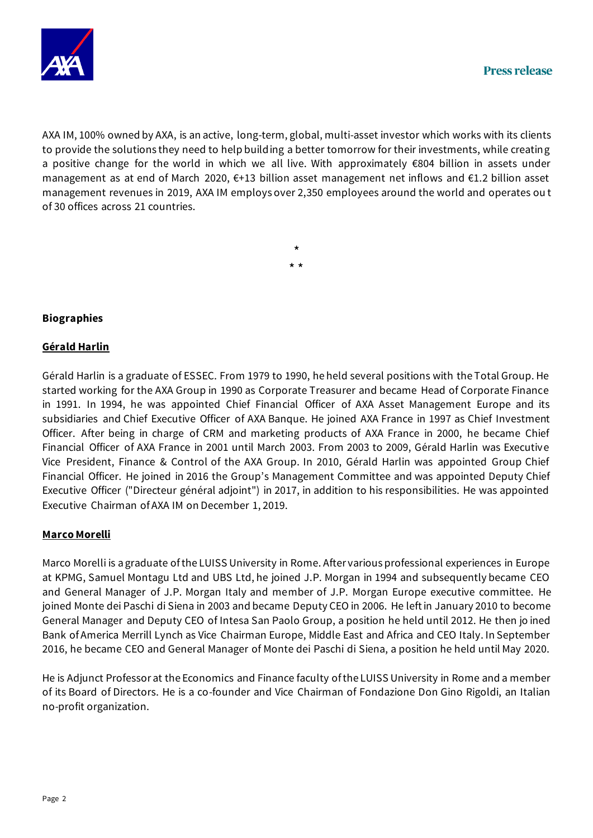

AXA IM, 100% owned by AXA, is an active, long-term, global, multi-asset investor which works with its clients to provide the solutions they need to help building a better tomorrow for their investments, while creating a positive change for the world in which we all live. With approximately €804 billion in assets under management as at end of March 2020, €+13 billion asset management net inflows and €1.2 billion asset management revenues in 2019, AXA IM employs over 2,350 employees around the world and operates ou t of 30 offices across 21 countries.

# \* \* \*

# **Biographies**

## **Gérald Harlin**

Gérald Harlin is a graduate of ESSEC. From 1979 to 1990, he held several positions with the Total Group. He started working for the AXA Group in 1990 as Corporate Treasurer and became Head of Corporate Finance in 1991. In 1994, he was appointed Chief Financial Officer of AXA Asset Management Europe and its subsidiaries and Chief Executive Officer of AXA Banque. He joined AXA France in 1997 as Chief Investment Officer. After being in charge of CRM and marketing products of AXA France in 2000, he became Chief Financial Officer of AXA France in 2001 until March 2003. From 2003 to 2009, Gérald Harlin was Executiv e Vice President, Finance & Control of the AXA Group. In 2010, Gérald Harlin was appointed Group Chief Financial Officer. He joined in 2016 the Group's Management Committee and was appointed Deputy Chief Executive Officer ("Directeur général adjoint") in 2017, in addition to his responsibilities. He was appointed Executive Chairman of AXA IM on December 1, 2019.

## **Marco Morelli**

Marco Morelli is a graduate of the LUISS University in Rome. After various professional experiences in Europe at KPMG, Samuel Montagu Ltd and UBS Ltd, he joined J.P. Morgan in 1994 and subsequently became CEO and General Manager of J.P. Morgan Italy and member of J.P. Morgan Europe executive committee. He joined Monte dei Paschi di Siena in 2003 and became Deputy CEO in 2006. He left in January 2010 to become General Manager and Deputy CEO of Intesa San Paolo Group, a position he held until 2012. He then jo ined Bank of America Merrill Lynch as Vice Chairman Europe, Middle East and Africa and CEO Italy. In September 2016, he became CEO and General Manager of Monte dei Paschi di Siena, a position he held until May 2020.

He is Adjunct Professor at the Economics and Finance faculty of the LUISS University in Rome and a member of its Board of Directors. He is a co-founder and Vice Chairman of Fondazione Don Gino Rigoldi, an Italian no-profit organization.